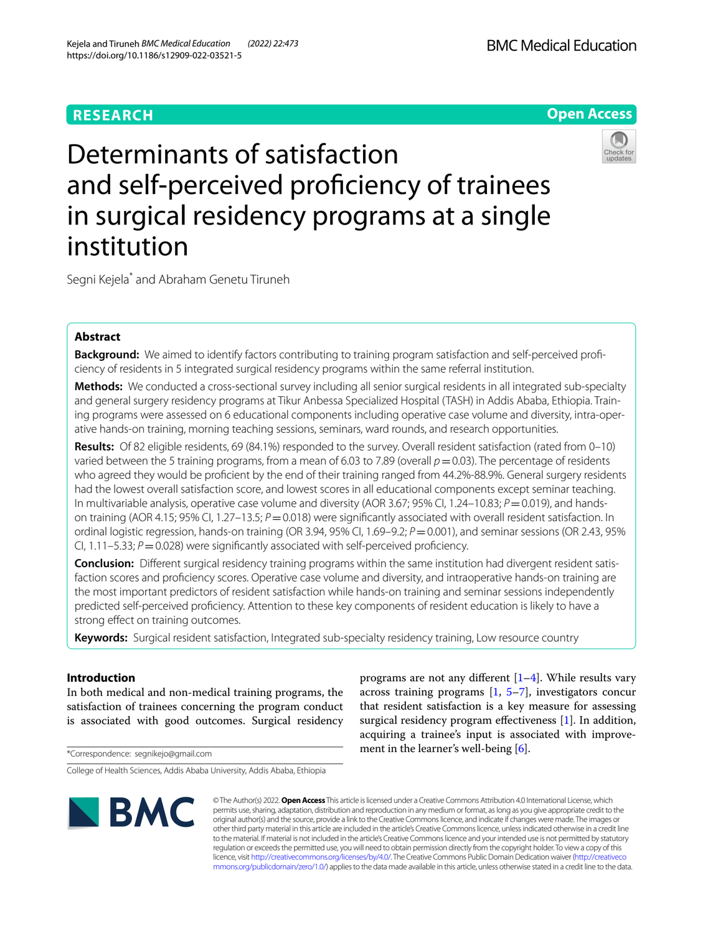# **RESEARCH**

**BMC Medical Education** 

# **Open Access**



Determinants of satisfaction and self-perceived proficiency of trainees in surgical residency programs at a single institution

Segni Kejela\* and Abraham Genetu Tiruneh

# **Abstract**

**Background:** We aimed to identify factors contributing to training program satisfaction and self-perceived profciency of residents in 5 integrated surgical residency programs within the same referral institution.

**Methods:** We conducted a cross-sectional survey including all senior surgical residents in all integrated sub-specialty and general surgery residency programs at Tikur Anbessa Specialized Hospital (TASH) in Addis Ababa, Ethiopia. Training programs were assessed on 6 educational components including operative case volume and diversity, intra-operative hands-on training, morning teaching sessions, seminars, ward rounds, and research opportunities.

**Results:** Of 82 eligible residents, 69 (84.1%) responded to the survey. Overall resident satisfaction (rated from 0–10) varied between the 5 training programs, from a mean of 6.03 to 7.89 (overall  $p=0.03$ ). The percentage of residents who agreed they would be profcient by the end of their training ranged from 44.2%-88.9%. General surgery residents had the lowest overall satisfaction score, and lowest scores in all educational components except seminar teaching. In multivariable analysis, operative case volume and diversity (AOR 3.67; 95% CI, 1.24–10.83; *P* = 0.019), and handson training (AOR 4.15; 95% CI, 1.27–13.5;  $P = 0.018$ ) were significantly associated with overall resident satisfaction. In ordinal logistic regression, hands-on training (OR 3.94, 95% CI, 1.69–9.2; *P*=0.001), and seminar sessions (OR 2.43, 95% CI,  $1.11-5.33$ ;  $P=0.028$ ) were significantly associated with self-perceived proficiency.

**Conclusion:** Diferent surgical residency training programs within the same institution had divergent resident satisfaction scores and profciency scores. Operative case volume and diversity, and intraoperative hands-on training are the most important predictors of resident satisfaction while hands-on training and seminar sessions independently predicted self-perceived profciency. Attention to these key components of resident education is likely to have a strong effect on training outcomes.

**Keywords:** Surgical resident satisfaction, Integrated sub-specialty residency training, Low resource country

# **Introduction**

In both medical and non-medical training programs, the satisfaction of trainees concerning the program conduct is associated with good outcomes. Surgical residency

\*Correspondence: segnikejo@gmail.com

College of Health Sciences, Addis Ababa University, Addis Ababa, Ethiopia



programs are not any different  $[1-4]$  $[1-4]$ . While results vary across training programs  $[1, 5-7]$  $[1, 5-7]$  $[1, 5-7]$ , investigators concur that resident satisfaction is a key measure for assessing surgical residency program efectiveness [\[1](#page-6-0)]. In addition, acquiring a trainee's input is associated with improvement in the learner's well-being [[6\]](#page-6-4).

© The Author(s) 2022. **Open Access** This article is licensed under a Creative Commons Attribution 4.0 International License, which permits use, sharing, adaptation, distribution and reproduction in any medium or format, as long as you give appropriate credit to the original author(s) and the source, provide a link to the Creative Commons licence, and indicate if changes were made. The images or other third party material in this article are included in the article's Creative Commons licence, unless indicated otherwise in a credit line to the material. If material is not included in the article's Creative Commons licence and your intended use is not permitted by statutory regulation or exceeds the permitted use, you will need to obtain permission directly from the copyright holder. To view a copy of this licence, visit [http://creativecommons.org/licenses/by/4.0/.](http://creativecommons.org/licenses/by/4.0/) The Creative Commons Public Domain Dedication waiver ([http://creativeco](http://creativecommons.org/publicdomain/zero/1.0/) [mmons.org/publicdomain/zero/1.0/](http://creativecommons.org/publicdomain/zero/1.0/)) applies to the data made available in this article, unless otherwise stated in a credit line to the data.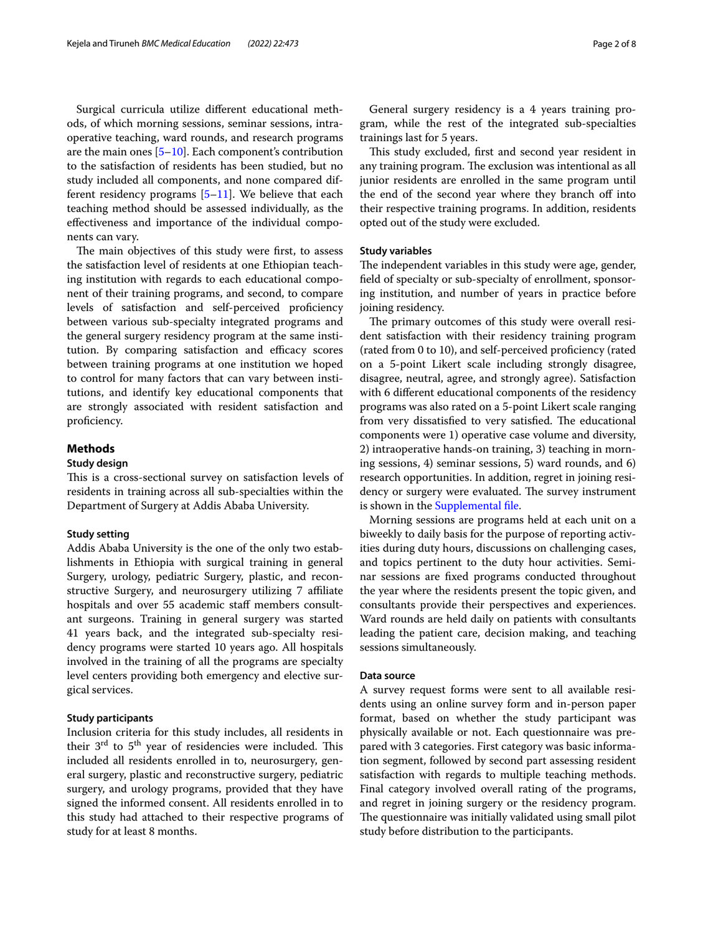Surgical curricula utilize diferent educational methods, of which morning sessions, seminar sessions, intraoperative teaching, ward rounds, and research programs are the main ones  $[5-10]$  $[5-10]$ . Each component's contribution to the satisfaction of residents has been studied, but no study included all components, and none compared different residency programs  $[5-11]$  $[5-11]$ . We believe that each teaching method should be assessed individually, as the efectiveness and importance of the individual components can vary.

The main objectives of this study were first, to assess the satisfaction level of residents at one Ethiopian teaching institution with regards to each educational component of their training programs, and second, to compare levels of satisfaction and self-perceived profciency between various sub-specialty integrated programs and the general surgery residency program at the same institution. By comparing satisfaction and efficacy scores between training programs at one institution we hoped to control for many factors that can vary between institutions, and identify key educational components that are strongly associated with resident satisfaction and proficiency.

# **Methods**

### **Study design**

This is a cross-sectional survey on satisfaction levels of residents in training across all sub-specialties within the Department of Surgery at Addis Ababa University.

### **Study setting**

Addis Ababa University is the one of the only two establishments in Ethiopia with surgical training in general Surgery, urology, pediatric Surgery, plastic, and reconstructive Surgery, and neurosurgery utilizing 7 afliate hospitals and over 55 academic staff members consultant surgeons. Training in general surgery was started 41 years back, and the integrated sub-specialty residency programs were started 10 years ago. All hospitals involved in the training of all the programs are specialty level centers providing both emergency and elective surgical services.

# **Study participants**

Inclusion criteria for this study includes, all residents in their  $3<sup>rd</sup>$  to  $5<sup>th</sup>$  year of residencies were included. This included all residents enrolled in to, neurosurgery, general surgery, plastic and reconstructive surgery, pediatric surgery, and urology programs, provided that they have signed the informed consent. All residents enrolled in to this study had attached to their respective programs of study for at least 8 months.

General surgery residency is a 4 years training program, while the rest of the integrated sub-specialties trainings last for 5 years.

This study excluded, first and second year resident in any training program. The exclusion was intentional as all junior residents are enrolled in the same program until the end of the second year where they branch off into their respective training programs. In addition, residents opted out of the study were excluded.

# **Study variables**

The independent variables in this study were age, gender, feld of specialty or sub-specialty of enrollment, sponsoring institution, and number of years in practice before joining residency.

The primary outcomes of this study were overall resident satisfaction with their residency training program (rated from 0 to 10), and self-perceived profciency (rated on a 5-point Likert scale including strongly disagree, disagree, neutral, agree, and strongly agree). Satisfaction with 6 diferent educational components of the residency programs was also rated on a 5-point Likert scale ranging from very dissatisfied to very satisfied. The educational components were 1) operative case volume and diversity, 2) intraoperative hands-on training, 3) teaching in morning sessions, 4) seminar sessions, 5) ward rounds, and 6) research opportunities. In addition, regret in joining residency or surgery were evaluated. The survey instrument is shown in the [Supplemental fle](#page-6-5).

Morning sessions are programs held at each unit on a biweekly to daily basis for the purpose of reporting activities during duty hours, discussions on challenging cases, and topics pertinent to the duty hour activities. Seminar sessions are fxed programs conducted throughout the year where the residents present the topic given, and consultants provide their perspectives and experiences. Ward rounds are held daily on patients with consultants leading the patient care, decision making, and teaching sessions simultaneously.

## **Data source**

A survey request forms were sent to all available residents using an online survey form and in-person paper format, based on whether the study participant was physically available or not. Each questionnaire was prepared with 3 categories. First category was basic information segment, followed by second part assessing resident satisfaction with regards to multiple teaching methods. Final category involved overall rating of the programs, and regret in joining surgery or the residency program. The questionnaire was initially validated using small pilot study before distribution to the participants.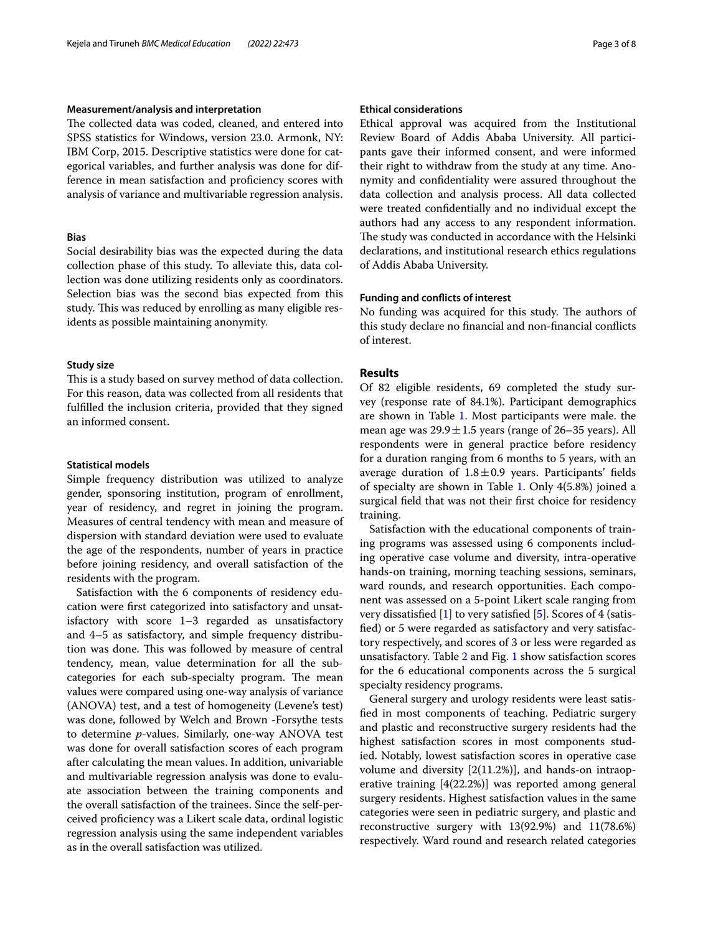# **Measurement/analysis and interpretation**

The collected data was coded, cleaned, and entered into SPSS statistics for Windows, version 23.0. Armonk, NY: IBM Corp, 2015. Descriptive statistics were done for categorical variables, and further analysis was done for difference in mean satisfaction and proficiency scores with analysis of variance and multivariable regression analysis.

# **Bias**

Social desirability bias was the expected during the data collection phase of this study. To alleviate this, data collection was done utilizing residents only as coordinators. Selection bias was the second bias expected from this study. This was reduced by enrolling as many eligible residents as possible maintaining anonymity.

## **Study size**

This is a study based on survey method of data collection. For this reason, data was collected from all residents that fulflled the inclusion criteria, provided that they signed an informed consent.

### **Statistical models**

Simple frequency distribution was utilized to analyze gender, sponsoring institution, program of enrollment, year of residency, and regret in joining the program. Measures of central tendency with mean and measure of dispersion with standard deviation were used to evaluate the age of the respondents, number of years in practice before joining residency, and overall satisfaction of the residents with the program.

Satisfaction with the 6 components of residency education were frst categorized into satisfactory and unsatisfactory with score 1–3 regarded as unsatisfactory and 4–5 as satisfactory, and simple frequency distribution was done. This was followed by measure of central tendency, mean, value determination for all the subcategories for each sub-specialty program. The mean values were compared using one-way analysis of variance (ANOVA) test, and a test of homogeneity (Levene's test) was done, followed by Welch and Brown -Forsythe tests to determine *p*-values. Similarly, one-way ANOVA test was done for overall satisfaction scores of each program after calculating the mean values. In addition, univariable and multivariable regression analysis was done to evaluate association between the training components and the overall satisfaction of the trainees. Since the self-perceived profciency was a Likert scale data, ordinal logistic regression analysis using the same independent variables as in the overall satisfaction was utilized.

# **Ethical considerations**

Ethical approval was acquired from the Institutional Review Board of Addis Ababa University. All participants gave their informed consent, and were informed their right to withdraw from the study at any time. Anonymity and confdentiality were assured throughout the data collection and analysis process. All data collected were treated confdentially and no individual except the authors had any access to any respondent information. The study was conducted in accordance with the Helsinki declarations, and institutional research ethics regulations of Addis Ababa University.

## **Funding and conficts of interest**

No funding was acquired for this study. The authors of this study declare no fnancial and non-fnancial conficts of interest.

# **Results**

Of 82 eligible residents, 69 completed the study survey (response rate of 84.1%). Participant demographics are shown in Table [1.](#page-3-0) Most participants were male. the mean age was  $29.9 \pm 1.5$  years (range of 26–35 years). All respondents were in general practice before residency for a duration ranging from 6 months to 5 years, with an average duration of  $1.8 \pm 0.9$  years. Participants' fields of specialty are shown in Table [1.](#page-3-0) Only 4(5.8%) joined a surgical feld that was not their frst choice for residency training.

Satisfaction with the educational components of training programs was assessed using 6 components including operative case volume and diversity, intra-operative hands-on training, morning teaching sessions, seminars, ward rounds, and research opportunities. Each component was assessed on a 5-point Likert scale ranging from very dissatisfed [\[1\]](#page-6-0) to very satisfed [[5](#page-6-2)]. Scores of 4 (satisfed) or 5 were regarded as satisfactory and very satisfactory respectively, and scores of 3 or less were regarded as unsatisfactory. Table [2](#page-3-1) and Fig. [1](#page-4-0) show satisfaction scores for the 6 educational components across the 5 surgical specialty residency programs.

General surgery and urology residents were least satisfed in most components of teaching. Pediatric surgery and plastic and reconstructive surgery residents had the highest satisfaction scores in most components studied. Notably, lowest satisfaction scores in operative case volume and diversity [2(11.2%)], and hands-on intraoperative training [4(22.2%)] was reported among general surgery residents. Highest satisfaction values in the same categories were seen in pediatric surgery, and plastic and reconstructive surgery with 13(92.9%) and 11(78.6%) respectively. Ward round and research related categories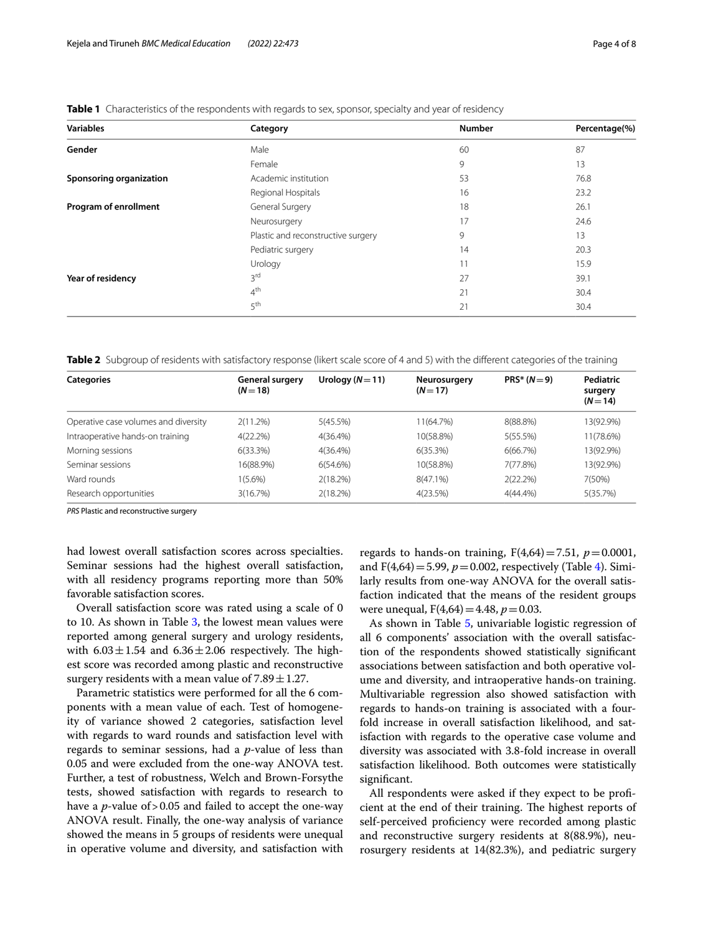| <b>Variables</b>        | Category                           |    | Percentage(%) |  |
|-------------------------|------------------------------------|----|---------------|--|
| Gender                  | Male                               | 60 | 87            |  |
|                         | Female                             | 9  | 13            |  |
| Sponsoring organization | Academic institution               | 53 | 76.8          |  |
|                         | Regional Hospitals                 | 16 | 23.2          |  |
| Program of enrollment   | General Surgery                    | 18 | 26.1          |  |
|                         | Neurosurgery                       | 17 | 24.6          |  |
|                         | Plastic and reconstructive surgery | 9  | 13            |  |
|                         | Pediatric surgery                  | 14 | 20.3          |  |
|                         | Urology                            | 11 | 15.9          |  |
| Year of residency       | 3 <sup>rd</sup>                    | 27 | 39.1          |  |
|                         | 4 <sup>th</sup>                    | 21 | 30.4          |  |
|                         | 5 <sup>th</sup>                    | 21 | 30.4          |  |

<span id="page-3-0"></span>**Table 1** Characteristics of the respondents with regards to sex, sponsor, specialty and year of residency

<span id="page-3-1"></span>**Table 2** Subgroup of residents with satisfactory response (likert scale score of 4 and 5) with the different categories of the training

| <b>Categories</b>                    | <b>General surgery</b><br>$(N=18)$ | Urology $(N=11)$ | Neurosurgery<br>$(N=17)$ | $PRS* (N = 9)$ | Pediatric<br>surgery<br>$(N = 14)$ |
|--------------------------------------|------------------------------------|------------------|--------------------------|----------------|------------------------------------|
| Operative case volumes and diversity | 2(11.2%)                           | 5(45.5%)         | 11(64.7%)                | 8(88.8%)       | 13(92.9%)                          |
| Intraoperative hands-on training     | 4(22.2%)                           | $4(36.4\%)$      | 10(58.8%)                | 5(55.5%)       | 11(78.6%)                          |
| Morning sessions                     | 6(33.3%)                           | $4(36.4\%)$      | 6(35.3%)                 | 6(66.7%)       | 13(92.9%)                          |
| Seminar sessions                     | 16(88.9%)                          | 6(54.6%)         | 10(58.8%)                | 7(77.8%)       | 13(92.9%)                          |
| Ward rounds                          | 1(5.6%)                            | 2(18.2%)         | $8(47.1\%)$              | 2(22.2%)       | 7(50%)                             |
| Research opportunities               | 3(16.7%)                           | 2(18.2%)         | 4(23.5%)                 | $4(44.4\%)$    | 5(35.7%)                           |

*PRS* Plastic and reconstructive surgery

had lowest overall satisfaction scores across specialties. Seminar sessions had the highest overall satisfaction, with all residency programs reporting more than 50% favorable satisfaction scores.

Overall satisfaction score was rated using a scale of 0 to 10. As shown in Table [3](#page-4-1), the lowest mean values were reported among general surgery and urology residents, with  $6.03 \pm 1.54$  and  $6.36 \pm 2.06$  respectively. The highest score was recorded among plastic and reconstructive surgery residents with a mean value of  $7.89 \pm 1.27$ .

Parametric statistics were performed for all the 6 components with a mean value of each. Test of homogeneity of variance showed 2 categories, satisfaction level with regards to ward rounds and satisfaction level with regards to seminar sessions, had a *p*-value of less than 0.05 and were excluded from the one-way ANOVA test. Further, a test of robustness, Welch and Brown-Forsythe tests, showed satisfaction with regards to research to have a *p*-value of > 0.05 and failed to accept the one-way ANOVA result. Finally, the one-way analysis of variance showed the means in 5 groups of residents were unequal in operative volume and diversity, and satisfaction with

regards to hands-on training,  $F(4,64)=7.51$ ,  $p=0.0001$ , and  $F(4,64) = 5.99$  $F(4,64) = 5.99$  $F(4,64) = 5.99$ ,  $p = 0.002$ , respectively (Table 4). Similarly results from one-way ANOVA for the overall satisfaction indicated that the means of the resident groups were unequal,  $F(4,64)=4.48$ ,  $p=0.03$ .

As shown in Table [5](#page-5-0), univariable logistic regression of all 6 components' association with the overall satisfaction of the respondents showed statistically signifcant associations between satisfaction and both operative volume and diversity, and intraoperative hands-on training. Multivariable regression also showed satisfaction with regards to hands-on training is associated with a fourfold increase in overall satisfaction likelihood, and satisfaction with regards to the operative case volume and diversity was associated with 3.8-fold increase in overall satisfaction likelihood. Both outcomes were statistically signifcant.

All respondents were asked if they expect to be profcient at the end of their training. The highest reports of self-perceived proficiency were recorded among plastic and reconstructive surgery residents at 8(88.9%), neurosurgery residents at 14(82.3%), and pediatric surgery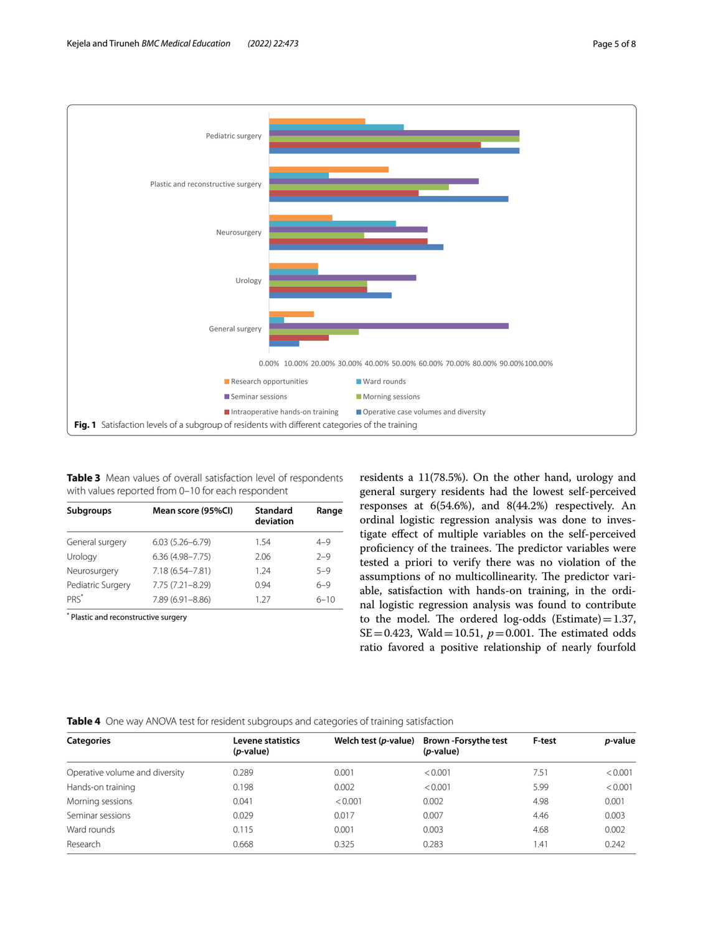

<span id="page-4-1"></span><span id="page-4-0"></span>**Table 3** Mean values of overall satisfaction level of respondents with values reported from 0–10 for each respondent

| Standard<br>deviation | Range    |
|-----------------------|----------|
| 1.54                  | $4 - 9$  |
| 2.06                  | $2 - 9$  |
| 1 24                  | $5 - 9$  |
| O 94                  | $6 - 9$  |
| 1 27                  | $6 - 10$ |
|                       |          |

\* Plastic and reconstructive surgery

residents a 11(78.5%). On the other hand, urology and general surgery residents had the lowest self-perceived responses at 6(54.6%), and 8(44.2%) respectively. An ordinal logistic regression analysis was done to investigate efect of multiple variables on the self-perceived proficiency of the trainees. The predictor variables were tested a priori to verify there was no violation of the assumptions of no multicollinearity. The predictor variable, satisfaction with hands-on training, in the ordinal logistic regression analysis was found to contribute to the model. The ordered log-odds (Estimate) =  $1.37$ , SE=0.423, Wald=10.51,  $p=0.001$ . The estimated odds ratio favored a positive relationship of nearly fourfold

# <span id="page-4-2"></span>**Table 4** One way ANOVA test for resident subgroups and categories of training satisfaction

| <b>Categories</b>              | Levene statistics<br>( <i>p</i> -value) | Welch test (p-value) | <b>Brown-Forsythe test</b><br>$(p-value)$ | F-test | <i>p</i> -value |
|--------------------------------|-----------------------------------------|----------------------|-------------------------------------------|--------|-----------------|
| Operative volume and diversity | 0.289                                   | 0.001                | < 0.001                                   | 7.51   | < 0.001         |
| Hands-on training              | 0.198                                   | 0.002                | < 0.001                                   | 5.99   | < 0.001         |
| Morning sessions               | 0.041                                   | < 0.001              | 0.002                                     | 4.98   | 0.001           |
| Seminar sessions               | 0.029                                   | 0.017                | 0.007                                     | 4.46   | 0.003           |
| Ward rounds                    | 0.115                                   | 0.001                | 0.003                                     | 4.68   | 0.002           |
| Research                       | 0.668                                   | 0.325                | 0.283                                     | ,41    | 0.242           |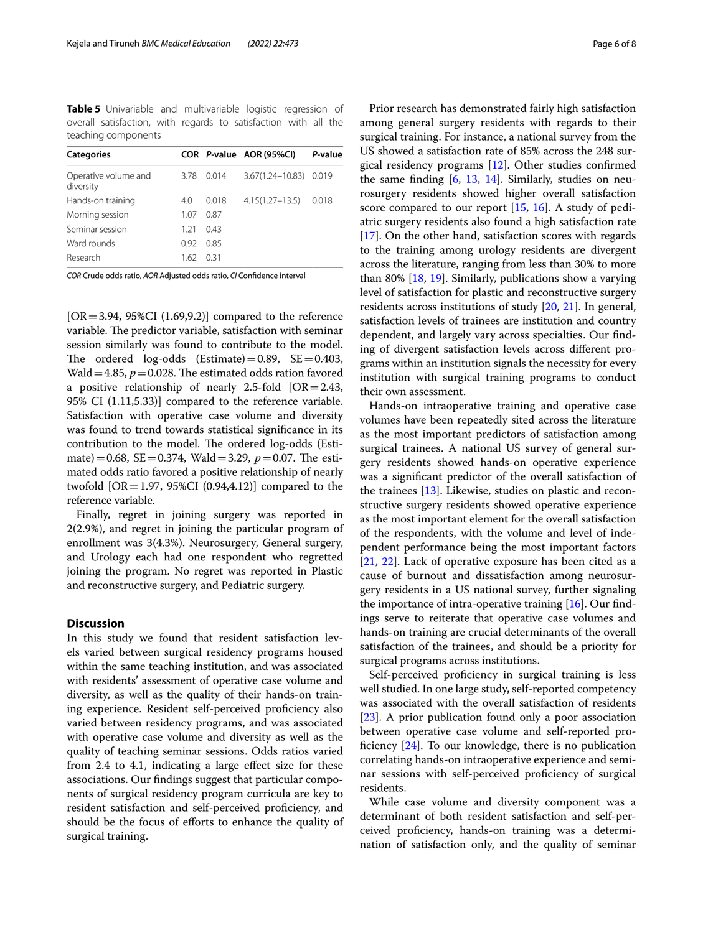<span id="page-5-0"></span>**Table 5** Univariable and multivariable logistic regression of overall satisfaction, with regards to satisfaction with all the teaching components

| <b>Categories</b>                 |      |       | COR P-value AOR (95%CI) | P-value |
|-----------------------------------|------|-------|-------------------------|---------|
| Operative volume and<br>diversity | 3.78 | 0.014 | $3.67(1.24 - 10.83)$    | 0.019   |
| Hands-on training                 | 4.0  | 0.018 | $4.15(1.27 - 13.5)$     | 0.018   |
| Morning session                   | 1.07 | 0.87  |                         |         |
| Seminar session                   | 1 21 | 043   |                         |         |
| Ward rounds                       | 0.92 | 0.85  |                         |         |
| Research                          | 1.62 | 031   |                         |         |

*COR* Crude odds ratio, *AOR* Adjusted odds ratio, *CI* Confdence interval

 $[OR = 3.94, 95\% CI (1.69, 9.2)]$  compared to the reference variable. The predictor variable, satisfaction with seminar session similarly was found to contribute to the model. The ordered log-odds (Estimate) =  $0.89$ , SE =  $0.403$ , Wald = 4.85,  $p = 0.028$ . The estimated odds ration favored a positive relationship of nearly 2.5-fold  $[OR = 2.43]$ , 95% CI (1.11,5.33)] compared to the reference variable. Satisfaction with operative case volume and diversity was found to trend towards statistical signifcance in its contribution to the model. The ordered log-odds (Estimate)=0.68, SE=0.374, Wald=3.29,  $p=0.07$ . The estimated odds ratio favored a positive relationship of nearly twofold [OR = 1.97, 95%CI  $(0.94, 4.12)$ ] compared to the reference variable.

Finally, regret in joining surgery was reported in 2(2.9%), and regret in joining the particular program of enrollment was 3(4.3%). Neurosurgery, General surgery, and Urology each had one respondent who regretted joining the program. No regret was reported in Plastic and reconstructive surgery, and Pediatric surgery.

# **Discussion**

In this study we found that resident satisfaction levels varied between surgical residency programs housed within the same teaching institution, and was associated with residents' assessment of operative case volume and diversity, as well as the quality of their hands-on training experience. Resident self-perceived profciency also varied between residency programs, and was associated with operative case volume and diversity as well as the quality of teaching seminar sessions. Odds ratios varied from 2.4 to 4.1, indicating a large efect size for these associations. Our fndings suggest that particular components of surgical residency program curricula are key to resident satisfaction and self-perceived profciency, and should be the focus of efforts to enhance the quality of surgical training.

Prior research has demonstrated fairly high satisfaction among general surgery residents with regards to their surgical training. For instance, a national survey from the US showed a satisfaction rate of 85% across the 248 surgical residency programs [\[12](#page-7-2)]. Other studies confrmed the same finding  $[6, 13, 14]$  $[6, 13, 14]$  $[6, 13, 14]$  $[6, 13, 14]$  $[6, 13, 14]$ . Similarly, studies on neurosurgery residents showed higher overall satisfaction score compared to our report [[15,](#page-7-5) [16](#page-7-6)]. A study of pediatric surgery residents also found a high satisfaction rate [[17\]](#page-7-7). On the other hand, satisfaction scores with regards to the training among urology residents are divergent across the literature, ranging from less than 30% to more than 80% [\[18,](#page-7-8) [19\]](#page-7-9). Similarly, publications show a varying level of satisfaction for plastic and reconstructive surgery residents across institutions of study [[20](#page-7-10), [21](#page-7-11)]. In general, satisfaction levels of trainees are institution and country dependent, and largely vary across specialties. Our fnding of divergent satisfaction levels across diferent programs within an institution signals the necessity for every institution with surgical training programs to conduct their own assessment.

Hands-on intraoperative training and operative case volumes have been repeatedly sited across the literature as the most important predictors of satisfaction among surgical trainees. A national US survey of general surgery residents showed hands-on operative experience was a signifcant predictor of the overall satisfaction of the trainees [\[13](#page-7-3)]. Likewise, studies on plastic and reconstructive surgery residents showed operative experience as the most important element for the overall satisfaction of the respondents, with the volume and level of independent performance being the most important factors [[21,](#page-7-11) [22](#page-7-12)]. Lack of operative exposure has been cited as a cause of burnout and dissatisfaction among neurosurgery residents in a US national survey, further signaling the importance of intra-operative training [[16\]](#page-7-6). Our findings serve to reiterate that operative case volumes and hands-on training are crucial determinants of the overall satisfaction of the trainees, and should be a priority for surgical programs across institutions.

Self-perceived proficiency in surgical training is less well studied. In one large study, self-reported competency was associated with the overall satisfaction of residents [[23\]](#page-7-13). A prior publication found only a poor association between operative case volume and self-reported proficiency  $[24]$ . To our knowledge, there is no publication correlating hands-on intraoperative experience and seminar sessions with self-perceived profciency of surgical residents.

While case volume and diversity component was a determinant of both resident satisfaction and self-perceived profciency, hands-on training was a determination of satisfaction only, and the quality of seminar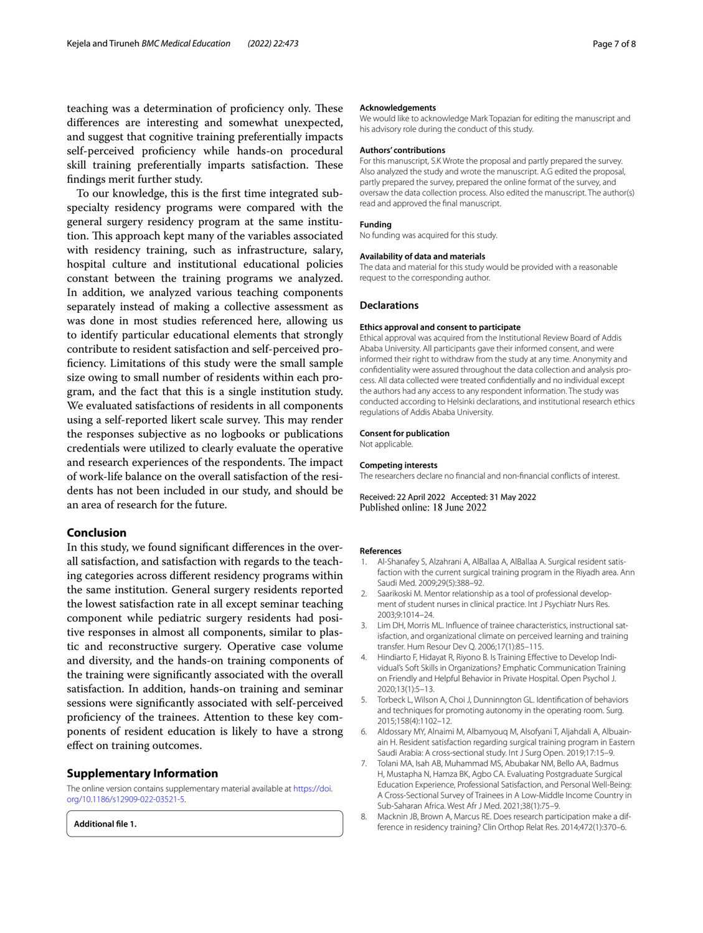teaching was a determination of proficiency only. These diferences are interesting and somewhat unexpected, and suggest that cognitive training preferentially impacts self-perceived profciency while hands-on procedural skill training preferentially imparts satisfaction. These fndings merit further study.

To our knowledge, this is the frst time integrated subspecialty residency programs were compared with the general surgery residency program at the same institution. This approach kept many of the variables associated with residency training, such as infrastructure, salary, hospital culture and institutional educational policies constant between the training programs we analyzed. In addition, we analyzed various teaching components separately instead of making a collective assessment as was done in most studies referenced here, allowing us to identify particular educational elements that strongly contribute to resident satisfaction and self-perceived profciency. Limitations of this study were the small sample size owing to small number of residents within each program, and the fact that this is a single institution study. We evaluated satisfactions of residents in all components using a self-reported likert scale survey. This may render the responses subjective as no logbooks or publications credentials were utilized to clearly evaluate the operative and research experiences of the respondents. The impact of work-life balance on the overall satisfaction of the residents has not been included in our study, and should be an area of research for the future.

# **Conclusion**

In this study, we found signifcant diferences in the overall satisfaction, and satisfaction with regards to the teaching categories across diferent residency programs within the same institution. General surgery residents reported the lowest satisfaction rate in all except seminar teaching component while pediatric surgery residents had positive responses in almost all components, similar to plastic and reconstructive surgery. Operative case volume and diversity, and the hands-on training components of the training were signifcantly associated with the overall satisfaction. In addition, hands-on training and seminar sessions were signifcantly associated with self-perceived profciency of the trainees. Attention to these key components of resident education is likely to have a strong efect on training outcomes.

### **Supplementary Information**

The online version contains supplementary material available at [https://doi.](https://doi.org/10.1186/s12909-022-03521-5) [org/10.1186/s12909-022-03521-5](https://doi.org/10.1186/s12909-022-03521-5).

<span id="page-6-5"></span>**Additional fle 1.**

#### **Acknowledgements**

We would like to acknowledge Mark Topazian for editing the manuscript and his advisory role during the conduct of this study.

#### **Authors' contributions**

For this manuscript, S.K Wrote the proposal and partly prepared the survey. Also analyzed the study and wrote the manuscript. A.G edited the proposal, partly prepared the survey, prepared the online format of the survey, and oversaw the data collection process. Also edited the manuscript. The author(s) read and approved the fnal manuscript.

### **Funding**

No funding was acquired for this study.

#### **Availability of data and materials**

The data and material for this study would be provided with a reasonable request to the corresponding author.

### **Declarations**

#### **Ethics approval and consent to participate**

Ethical approval was acquired from the Institutional Review Board of Addis Ababa University. All participants gave their informed consent, and were informed their right to withdraw from the study at any time. Anonymity and confdentiality were assured throughout the data collection and analysis process. All data collected were treated confdentially and no individual except the authors had any access to any respondent information. The study was conducted according to Helsinki declarations, and institutional research ethics regulations of Addis Ababa University.

#### **Consent for publication**

Not applicable.

#### **Competing interests**

The researchers declare no fnancial and non-fnancial conficts of interest.

Received: 22 April 2022 Accepted: 31 May 2022

#### **References**

- <span id="page-6-0"></span>1. Al-Shanafey S, Alzahrani A, AlBallaa A, AlBallaa A. Surgical resident satisfaction with the current surgical training program in the Riyadh area. Ann Saudi Med. 2009;29(5):388–92.
- 2. Saarikoski M. Mentor relationship as a tool of professional development of student nurses in clinical practice. Int J Psychiatr Nurs Res. 2003;9:1014–24.
- 3. Lim DH, Morris ML. Infuence of trainee characteristics, instructional satisfaction, and organizational climate on perceived learning and training transfer. Hum Resour Dev Q. 2006;17(1):85–115.
- <span id="page-6-1"></span>4. Hindiarto F, Hidayat R, Riyono B. Is Training Efective to Develop Individual's Soft Skills in Organizations? Emphatic Communication Training on Friendly and Helpful Behavior in Private Hospital. Open Psychol J. 2020;13(1):5–13.
- <span id="page-6-2"></span>5. Torbeck L, Wilson A, Choi J, Dunninngton GL. Identifcation of behaviors and techniques for promoting autonomy in the operating room. Surg. 2015;158(4):1102–12.
- <span id="page-6-4"></span>6. Aldossary MY, Alnaimi M, Albamyouq M, Alsofyani T, Aljahdali A, Albuainain H. Resident satisfaction regarding surgical training program in Eastern Saudi Arabia: A cross-sectional study. Int J Surg Open. 2019;17:15–9.
- <span id="page-6-3"></span>7. Tolani MA, Isah AB, Muhammad MS, Abubakar NM, Bello AA, Badmus H, Mustapha N, Hamza BK, Agbo CA. Evaluating Postgraduate Surgical Education Experience, Professional Satisfaction, and Personal Well-Being: A Cross-Sectional Survey of Trainees in A Low-Middle Income Country in Sub-Saharan Africa. West Afr J Med. 2021;38(1):75–9.
- 8. Macknin JB, Brown A, Marcus RE. Does research participation make a difference in residency training? Clin Orthop Relat Res. 2014;472(1):370–6.